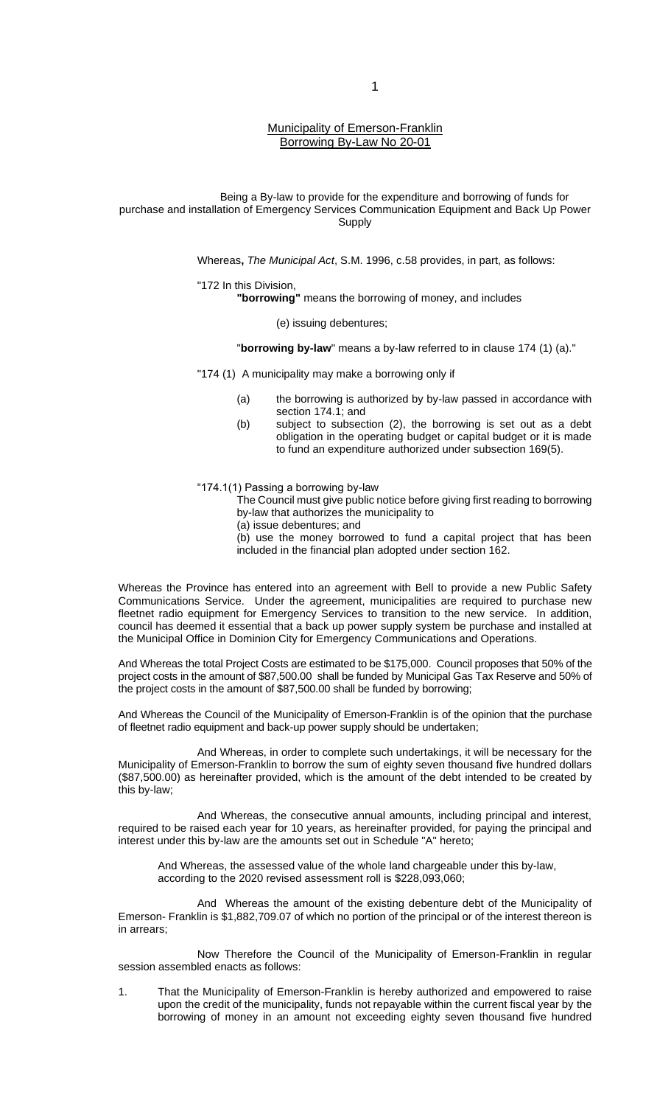## Municipality of Emerson-Franklin Borrowing By-Law No 20-01

Being a By-law to provide for the expenditure and borrowing of funds for purchase and installation of Emergency Services Communication Equipment and Back Up Power **Supply** 

Whereas**,** *The Municipal Act*, S.M. 1996, c.58 provides, in part, as follows:

"172 In this Division, **"borrowing"** means the borrowing of money, and includes

(e) issuing debentures;

"**borrowing by-law**" means a by-law referred to in clause 174 (1) (a)."

"174 (1) A municipality may make a borrowing only if

- (a) the borrowing is authorized by by-law passed in accordance with section 174.1; and
- (b) subject to subsection (2), the borrowing is set out as a debt obligation in the operating budget or capital budget or it is made to fund an expenditure authorized under subsection 169(5).

"174.1(1) Passing a borrowing by-law

The Council must give public notice before giving first reading to borrowing by-law that authorizes the municipality to

(a) issue debentures; and

(b) use the money borrowed to fund a capital project that has been included in the financial plan adopted under section 162.

Whereas the Province has entered into an agreement with Bell to provide a new Public Safety Communications Service. Under the agreement, municipalities are required to purchase new fleetnet radio equipment for Emergency Services to transition to the new service. In addition, council has deemed it essential that a back up power supply system be purchase and installed at the Municipal Office in Dominion City for Emergency Communications and Operations.

And Whereas the total Project Costs are estimated to be \$175,000. Council proposes that 50% of the project costs in the amount of \$87,500.00 shall be funded by Municipal Gas Tax Reserve and 50% of the project costs in the amount of \$87,500.00 shall be funded by borrowing;

And Whereas the Council of the Municipality of Emerson-Franklin is of the opinion that the purchase of fleetnet radio equipment and back-up power supply should be undertaken;

And Whereas, in order to complete such undertakings, it will be necessary for the Municipality of Emerson-Franklin to borrow the sum of eighty seven thousand five hundred dollars (\$87,500.00) as hereinafter provided, which is the amount of the debt intended to be created by this by-law;

And Whereas, the consecutive annual amounts, including principal and interest, required to be raised each year for 10 years, as hereinafter provided, for paying the principal and interest under this by-law are the amounts set out in Schedule "A" hereto;

And Whereas, the assessed value of the whole land chargeable under this by-law, according to the 2020 revised assessment roll is \$228,093,060;

And Whereas the amount of the existing debenture debt of the Municipality of Emerson- Franklin is \$1,882,709.07 of which no portion of the principal or of the interest thereon is in arrears;

Now Therefore the Council of the Municipality of Emerson-Franklin in regular session assembled enacts as follows:

1. That the Municipality of Emerson-Franklin is hereby authorized and empowered to raise upon the credit of the municipality, funds not repayable within the current fiscal year by the borrowing of money in an amount not exceeding eighty seven thousand five hundred